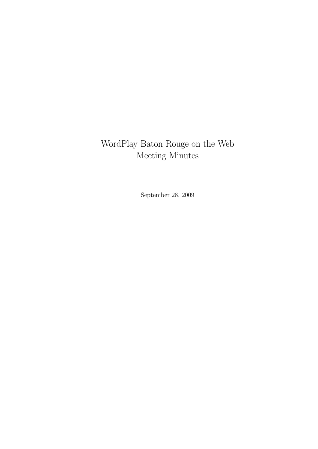# WordPlay Baton Rouge on the Web Meeting Minutes

September 28, 2009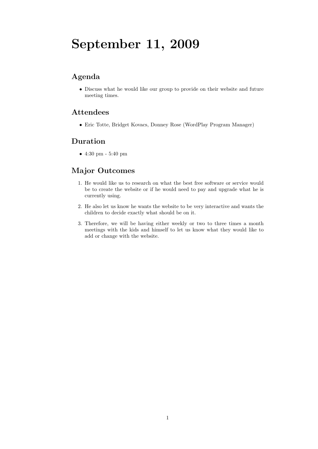# September 11, 2009

## Agenda

• Discuss what he would like our group to provide on their website and future meeting times.

## Attendees

• Eric Totte, Bridget Kovacs, Donney Rose (WordPlay Program Manager)

## Duration

• 4:30 pm - 5:40 pm

- 1. He would like us to research on what the best free software or service would be to create the website or if he would need to pay and upgrade what he is currently using.
- 2. He also let us know he wants the website to be very interactive and wants the children to decide exactly what should be on it.
- 3. Therefore, we will be having either weekly or two to three times a month meetings with the kids and himself to let us know what they would like to add or change with the website.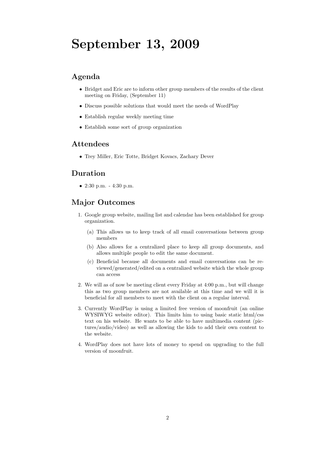# September 13, 2009

## Agenda

- Bridget and Eric are to inform other group members of the results of the client meeting on Friday, (September 11)
- Discuss possible solutions that would meet the needs of WordPlay
- Establish regular weekly meeting time
- Establish some sort of group organization

#### Attendees

• Trey Miller, Eric Totte, Bridget Kovacs, Zachary Dever

### Duration

• 2:30 p.m. - 4:30 p.m.

- 1. Google group website, mailing list and calendar has been established for group organization.
	- (a) This allows us to keep track of all email conversations between group members
	- (b) Also allows for a centralized place to keep all group documents, and allows multiple people to edit the same document.
	- (c) Beneficial because all documents and email conversations can be reviewed/generated/edited on a centralized website which the whole group can access
- 2. We will as of now be meeting client every Friday at 4:00 p.m., but will change this as two group members are not available at this time and we will it is beneficial for all members to meet with the client on a regular interval.
- 3. Currently WordPlay is using a limited free version of moonfruit (an online WYSIWYG website editor). This limits him to using basic static html/css text on his website. He wants to be able to have multimedia content (pictures/audio/video) as well as allowing the kids to add their own content to the website.
- 4. WordPlay does not have lots of money to spend on upgrading to the full version of moonfruit.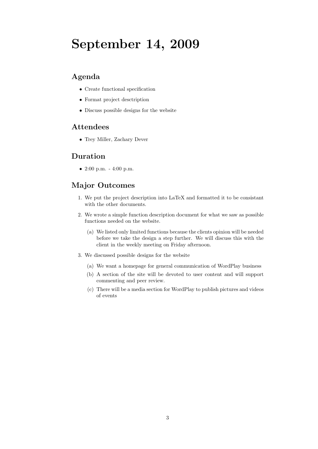# September 14, 2009

## Agenda

- Create functional specification
- Format project desctription
- Discuss possible designs for the website

#### Attendees

• Trey Miller, Zachary Dever

#### Duration

• 2:00 p.m. - 4:00 p.m.

- 1. We put the project description into LaTeX and formatted it to be consistant with the other documents.
- 2. We wrote a simple function description document for what we saw as possible functions needed on the website.
	- (a) We listed only limited functions because the clients opinion will be needed before we take the design a step further. We will discuss this with the client in the weekly meeting on Friday afternoon.
- 3. We discussed possible designs for the website
	- (a) We want a homepage for general communication of WordPlay business
	- (b) A section of the site will be devoted to user content and will support commenting and peer review.
	- (c) There will be a media section for WordPlay to publish pictures and videos of events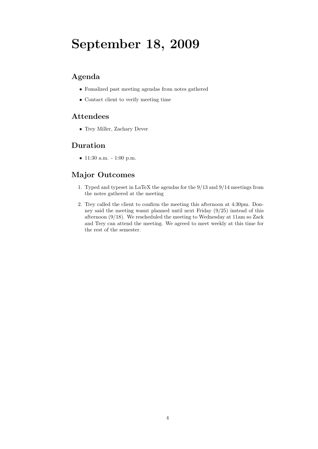# September 18, 2009

## Agenda

- Fomalized past meeting agendas from notes gathered
- Contact client to verify meeting time

### Attendees

• Trey Miller, Zachary Dever

### Duration

• 11:30 a.m. - 1:00 p.m.

- 1. Typed and typeset in LaTeX the agendas for the 9/13 and 9/14 meetings from the notes gathered at the meeting
- 2. Trey called the client to confirm the meeting this afternoon at 4:30pm. Donney said the meeting wasnt planned until next Friday (9/25) instead of this afternoon (9/18). We rescheduled the meeting to Wednesday at 11am so Zack and Trey can attend the meeting. We agreed to meet weekly at this time for the rest of the semester.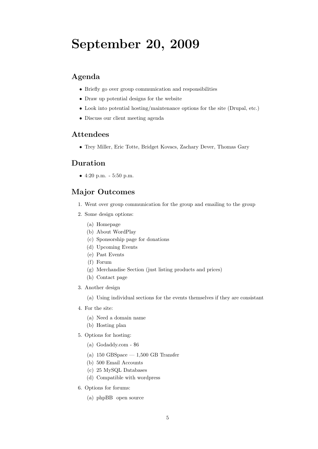# September 20, 2009

### Agenda

- Briefly go over group communication and responsibilities
- Draw up potential designs for the website
- Look into potential hosting/maintenance options for the site (Drupal, etc.)
- Discuss our client meeting agenda

#### Attendees

• Trey Miller, Eric Totte, Bridget Kovacs, Zachary Dever, Thomas Gary

### Duration

• 4:20 p.m. - 5:50 p.m.

#### Major Outcomes

- 1. Went over group communication for the group and emailing to the group
- 2. Some design options:
	- (a) Homepage
	- (b) About WordPlay
	- (c) Sponsorship page for donations
	- (d) Upcoming Events
	- (e) Past Events
	- (f) Forum
	- (g) Merchandise Section (just listing products and prices)
	- (h) Contact page
- 3. Another design

(a) Using individual sections for the events themselves if they are consistant

- 4. For the site:
	- (a) Need a domain name
	- (b) Hosting plan
- 5. Options for hosting:
	- (a) Godaddy.com \$6
	- (a)  $150 \text{ GBSpace} 1,500 \text{ GB Transfer}$
	- (b) 500 Email Accounts
	- (c) 25 MySQL Databases
	- (d) Compatible with wordpress
- 6. Options for forums:
	- (a) phpBB open source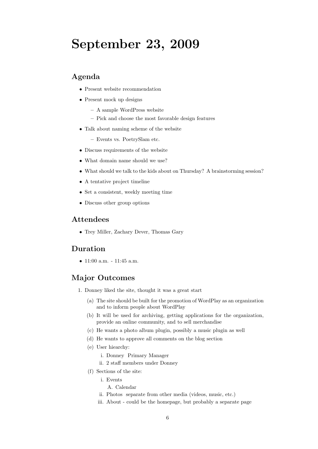# September 23, 2009

### Agenda

- Present website recommendation
- Present mock up designs
	- A sample WordPress website
	- Pick and choose the most favorable design features
- Talk about naming scheme of the website
	- Events vs. PoetrySlam etc.
- Discuss requirements of the website
- What domain name should we use?
- What should we talk to the kids about on Thursday? A brainstorming session?
- A tentative project timeline
- Set a consistent, weekly meeting time
- Discuss other group options

#### Attendees

• Trey Miller, Zachary Dever, Thomas Gary

#### Duration

•  $11:00$  a.m.  $-11:45$  a.m.

- 1. Donney liked the site, thought it was a great start
	- (a) The site should be built for the promotion of WordPlay as an organization and to inform people about WordPlay
	- (b) It will be used for archiving, getting applications for the organization, provide an online community, and to sell merchandise
	- (c) He wants a photo album plugin, possibly a music plugin as well
	- (d) He wants to approve all comments on the blog section
	- (e) User hiearchy:
		- i. Donney Primary Manager
		- ii. 2 staff members under Donney
	- (f) Sections of the site:
		- i. Events
			- A. Calendar
		- ii. Photos separate from other media (videos, music, etc.)
		- iii. About could be the homepage, but probably a separate page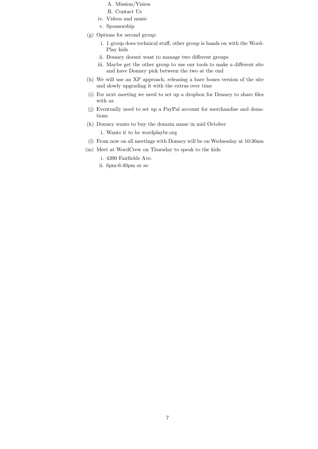- A. Mission/Vision
- B. Contact Us
- iv. Videos and music
- v. Sponsorship
- (g) Options for second group:
	- i. 1 group does technical stuff, other group is hands on with the Word-Play kids
	- ii. Donney doesnt want to manage two different groups
	- iii. Maybe get the other group to use our tools to make a different site and have Donney pick between the two at the end
- (h) We will use an XP approach, releasing a bare bones version of the site and slowly upgrading it with the extras over time
- (i) For next meeting we need to set up a dropbox for Donney to share files with us
- (j) Eventually need to set up a PayPal account for merchandise and donations
- (k) Donney wants to buy the domain name in mid October

i. Wants it to be wordplaybr.org

- (l) From now on all meetings with Donney will be on Wednesday at 10:30am
- (m) Meet at WordCrew on Thursday to speak to the kids
	- i. 4390 Fairfields Ave.
	- ii. 6pm-6:40pm or so